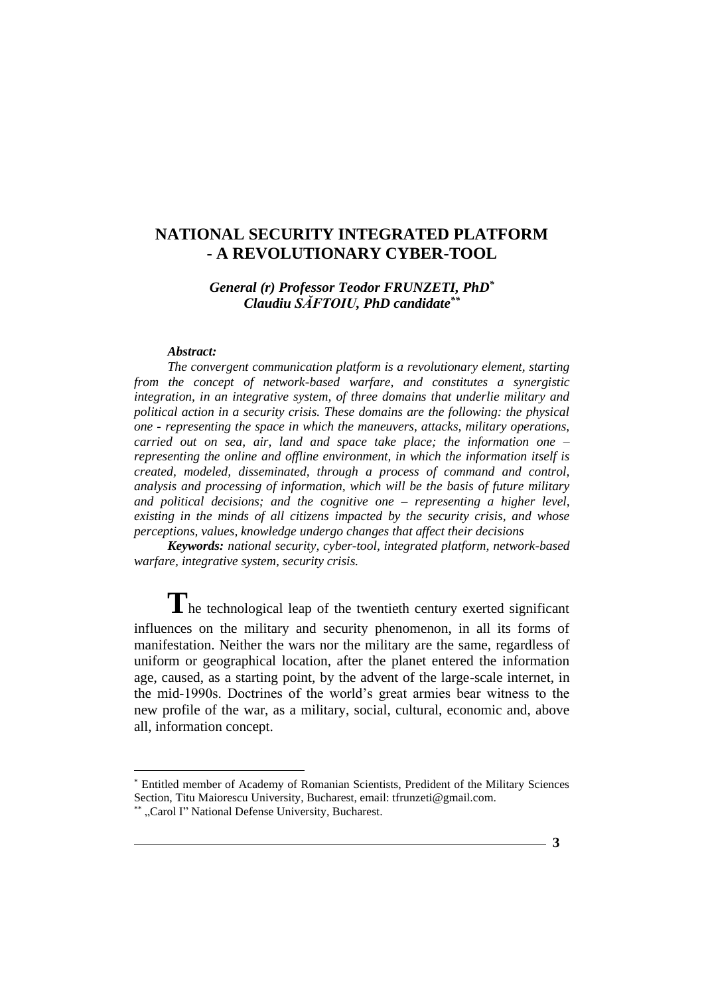### *General (r) Professor Teodor FRUNZETI, PhD\* Claudiu SĂFTOIU, PhD candidate\*\**

#### *Abstract:*

*The convergent communication platform is a revolutionary element, starting from the concept of network-based warfare, and constitutes a synergistic integration, in an integrative system, of three domains that underlie military and political action in a security crisis. These domains are the following: the physical one - representing the space in which the maneuvers, attacks, military operations, carried out on sea, air, land and space take place; the information one – representing the online and offline environment, in which the information itself is created, modeled, disseminated, through a process of command and control, analysis and processing of information, which will be the basis of future military and political decisions; and the cognitive one – representing a higher level, existing in the minds of all citizens impacted by the security crisis, and whose perceptions, values, knowledge undergo changes that affect their decisions*

*Keywords: national security, cyber-tool, integrated platform, network-based warfare, integrative system, security crisis.*

**T**he technological leap of the twentieth century exerted significant influences on the military and security phenomenon, in all its forms of manifestation. Neither the wars nor the military are the same, regardless of uniform or geographical location, after the planet entered the information age, caused, as a starting point, by the advent of the large-scale internet, in the mid-1990s. Doctrines of the world's great armies bear witness to the new profile of the war, as a military, social, cultural, economic and, above all, information concept.

<sup>\*</sup> Entitled member of Academy of Romanian Scientists, Predident of the Military Sciences Section, Titu Maiorescu University, Bucharest, email: tfrunzeti@gmail.com.

<sup>\*\*</sup> ..Carol I" National Defense University, Bucharest.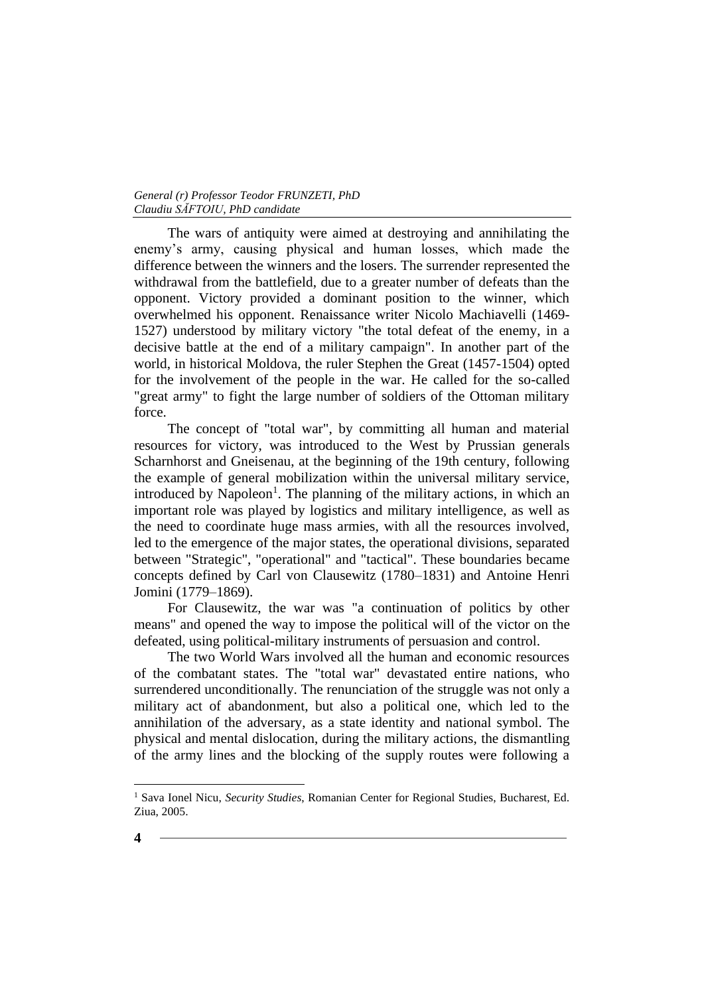The wars of antiquity were aimed at destroying and annihilating the enemy's army, causing physical and human losses, which made the difference between the winners and the losers. The surrender represented the withdrawal from the battlefield, due to a greater number of defeats than the opponent. Victory provided a dominant position to the winner, which overwhelmed his opponent. Renaissance writer Nicolo Machiavelli (1469- 1527) understood by military victory "the total defeat of the enemy, in a decisive battle at the end of a military campaign". In another part of the world, in historical Moldova, the ruler Stephen the Great (1457-1504) opted for the involvement of the people in the war. He called for the so-called "great army" to fight the large number of soldiers of the Ottoman military force.

The concept of "total war", by committing all human and material resources for victory, was introduced to the West by Prussian generals Scharnhorst and Gneisenau, at the beginning of the 19th century, following the example of general mobilization within the universal military service, introduced by Napoleon<sup>1</sup>. The planning of the military actions, in which an important role was played by logistics and military intelligence, as well as the need to coordinate huge mass armies, with all the resources involved, led to the emergence of the major states, the operational divisions, separated between "Strategic", "operational" and "tactical". These boundaries became concepts defined by Carl von Clausewitz (1780–1831) and Antoine Henri Jomini (1779–1869).

For Clausewitz, the war was "a continuation of politics by other means" and opened the way to impose the political will of the victor on the defeated, using political-military instruments of persuasion and control.

The two World Wars involved all the human and economic resources of the combatant states. The "total war" devastated entire nations, who surrendered unconditionally. The renunciation of the struggle was not only a military act of abandonment, but also a political one, which led to the annihilation of the adversary, as a state identity and national symbol. The physical and mental dislocation, during the military actions, the dismantling of the army lines and the blocking of the supply routes were following a

<sup>1</sup> Sava Ionel Nicu, *Security Studies*, Romanian Center for Regional Studies, Bucharest, Ed. Ziua, 2005.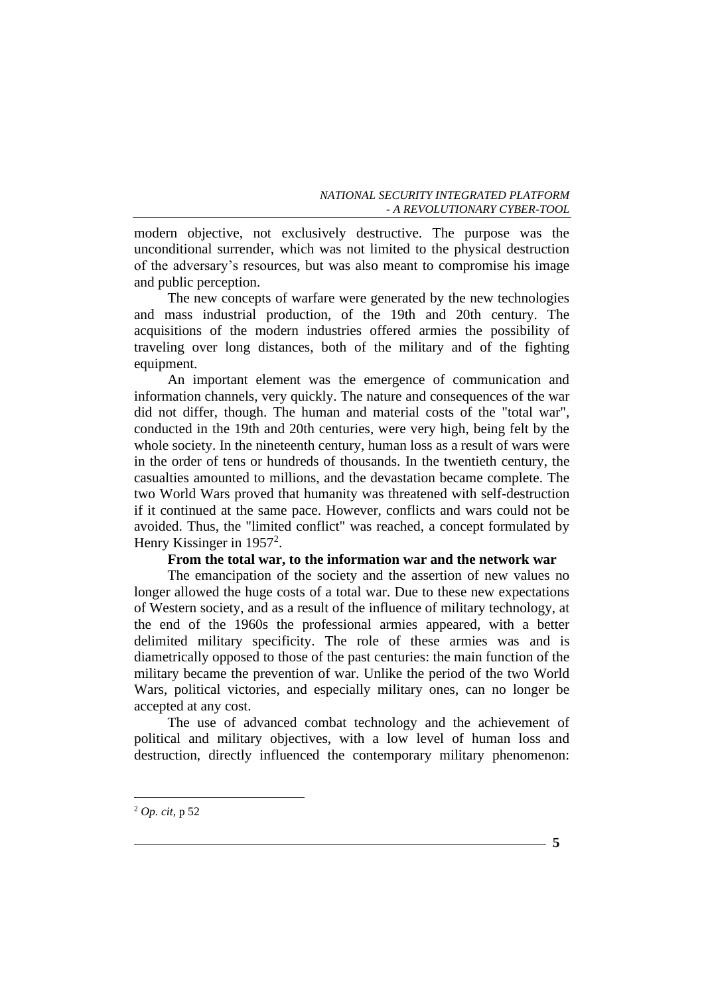modern objective, not exclusively destructive. The purpose was the unconditional surrender, which was not limited to the physical destruction of the adversary's resources, but was also meant to compromise his image and public perception.

The new concepts of warfare were generated by the new technologies and mass industrial production, of the 19th and 20th century. The acquisitions of the modern industries offered armies the possibility of traveling over long distances, both of the military and of the fighting equipment.

An important element was the emergence of communication and information channels, very quickly. The nature and consequences of the war did not differ, though. The human and material costs of the "total war", conducted in the 19th and 20th centuries, were very high, being felt by the whole society. In the nineteenth century, human loss as a result of wars were in the order of tens or hundreds of thousands. In the twentieth century, the casualties amounted to millions, and the devastation became complete. The two World Wars proved that humanity was threatened with self-destruction if it continued at the same pace. However, conflicts and wars could not be avoided. Thus, the "limited conflict" was reached, a concept formulated by Henry Kissinger in  $1957^2$ .

### **From the total war, to the information war and the network war**

The emancipation of the society and the assertion of new values no longer allowed the huge costs of a total war. Due to these new expectations of Western society, and as a result of the influence of military technology, at the end of the 1960s the professional armies appeared, with a better delimited military specificity. The role of these armies was and is diametrically opposed to those of the past centuries: the main function of the military became the prevention of war. Unlike the period of the two World Wars, political victories, and especially military ones, can no longer be accepted at any cost.

The use of advanced combat technology and the achievement of political and military objectives, with a low level of human loss and destruction, directly influenced the contemporary military phenomenon:

<sup>2</sup> *Op. cit*, p 52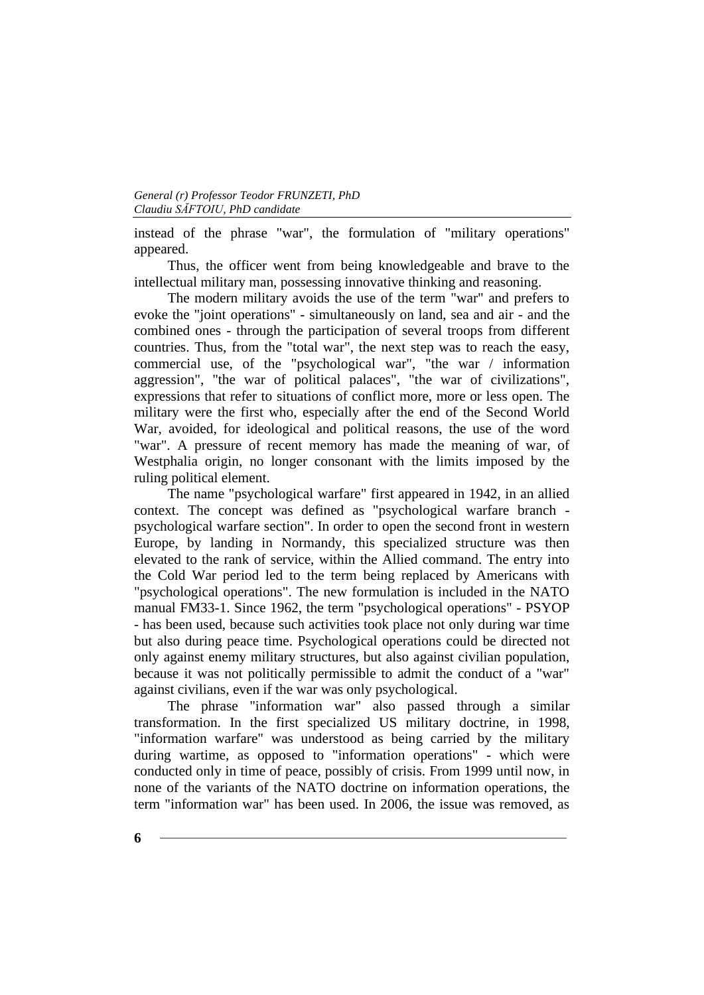instead of the phrase "war", the formulation of "military operations" appeared.

Thus, the officer went from being knowledgeable and brave to the intellectual military man, possessing innovative thinking and reasoning.

The modern military avoids the use of the term "war" and prefers to evoke the "joint operations" - simultaneously on land, sea and air - and the combined ones - through the participation of several troops from different countries. Thus, from the "total war", the next step was to reach the easy, commercial use, of the "psychological war", "the war / information aggression", "the war of political palaces", "the war of civilizations", expressions that refer to situations of conflict more, more or less open. The military were the first who, especially after the end of the Second World War, avoided, for ideological and political reasons, the use of the word "war". A pressure of recent memory has made the meaning of war, of Westphalia origin, no longer consonant with the limits imposed by the ruling political element.

The name "psychological warfare" first appeared in 1942, in an allied context. The concept was defined as "psychological warfare branch psychological warfare section". In order to open the second front in western Europe, by landing in Normandy, this specialized structure was then elevated to the rank of service, within the Allied command. The entry into the Cold War period led to the term being replaced by Americans with "psychological operations". The new formulation is included in the NATO manual FM33-1. Since 1962, the term "psychological operations" - PSYOP - has been used, because such activities took place not only during war time but also during peace time. Psychological operations could be directed not only against enemy military structures, but also against civilian population, because it was not politically permissible to admit the conduct of a "war" against civilians, even if the war was only psychological.

The phrase "information war" also passed through a similar transformation. In the first specialized US military doctrine, in 1998, "information warfare" was understood as being carried by the military during wartime, as opposed to "information operations" - which were conducted only in time of peace, possibly of crisis. From 1999 until now, in none of the variants of the NATO doctrine on information operations, the term "information war" has been used. In 2006, the issue was removed, as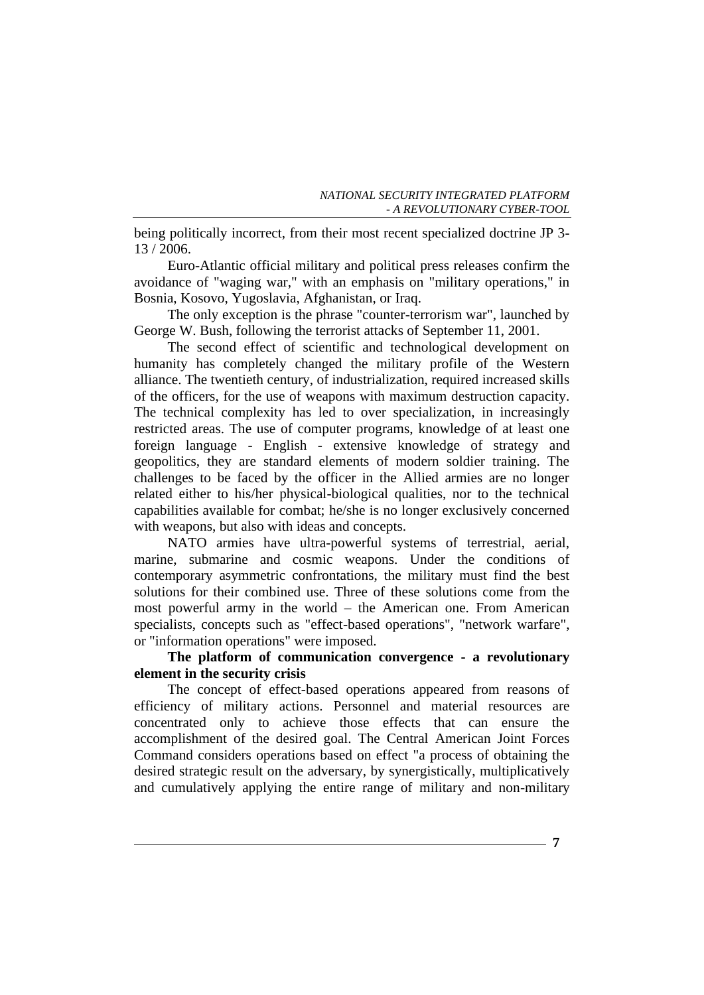being politically incorrect, from their most recent specialized doctrine JP 3- 13 / 2006.

Euro-Atlantic official military and political press releases confirm the avoidance of "waging war," with an emphasis on "military operations," in Bosnia, Kosovo, Yugoslavia, Afghanistan, or Iraq.

The only exception is the phrase "counter-terrorism war", launched by George W. Bush, following the terrorist attacks of September 11, 2001.

The second effect of scientific and technological development on humanity has completely changed the military profile of the Western alliance. The twentieth century, of industrialization, required increased skills of the officers, for the use of weapons with maximum destruction capacity. The technical complexity has led to over specialization, in increasingly restricted areas. The use of computer programs, knowledge of at least one foreign language - English - extensive knowledge of strategy and geopolitics, they are standard elements of modern soldier training. The challenges to be faced by the officer in the Allied armies are no longer related either to his/her physical-biological qualities, nor to the technical capabilities available for combat; he/she is no longer exclusively concerned with weapons, but also with ideas and concepts.

NATO armies have ultra-powerful systems of terrestrial, aerial, marine, submarine and cosmic weapons. Under the conditions of contemporary asymmetric confrontations, the military must find the best solutions for their combined use. Three of these solutions come from the most powerful army in the world – the American one. From American specialists, concepts such as "effect-based operations", "network warfare", or "information operations" were imposed.

## **The platform of communication convergence - a revolutionary element in the security crisis**

The concept of effect-based operations appeared from reasons of efficiency of military actions. Personnel and material resources are concentrated only to achieve those effects that can ensure the accomplishment of the desired goal. The Central American Joint Forces Command considers operations based on effect "a process of obtaining the desired strategic result on the adversary, by synergistically, multiplicatively and cumulatively applying the entire range of military and non-military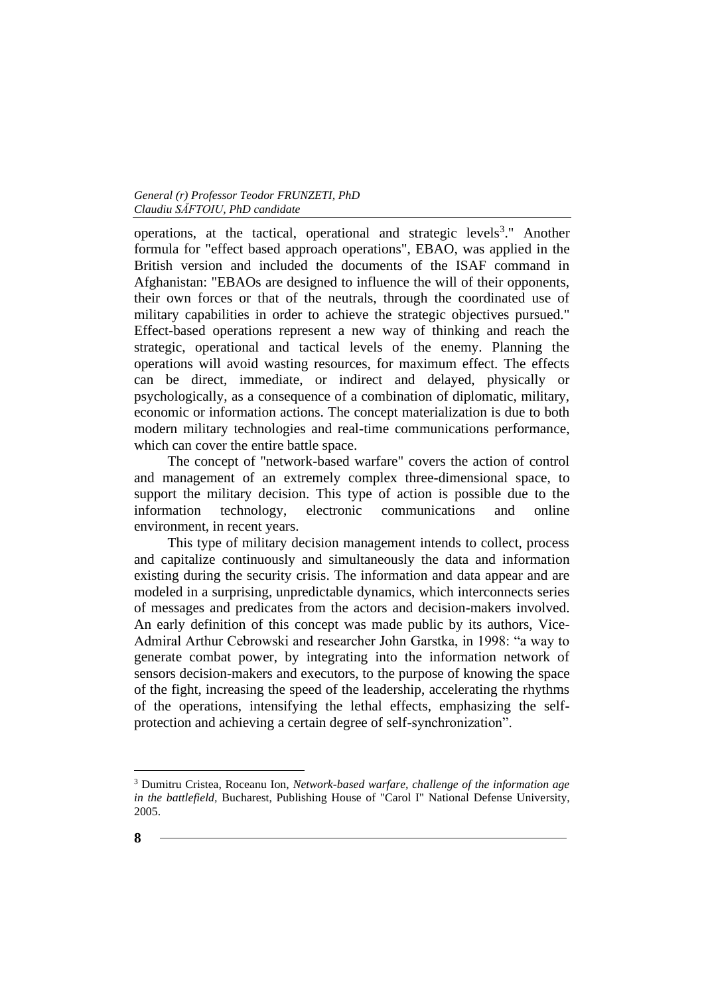operations, at the tactical, operational and strategic levels<sup>3</sup>." Another formula for "effect based approach operations", EBAO, was applied in the British version and included the documents of the ISAF command in Afghanistan: "EBAOs are designed to influence the will of their opponents, their own forces or that of the neutrals, through the coordinated use of military capabilities in order to achieve the strategic objectives pursued." Effect-based operations represent a new way of thinking and reach the strategic, operational and tactical levels of the enemy. Planning the operations will avoid wasting resources, for maximum effect. The effects can be direct, immediate, or indirect and delayed, physically or psychologically, as a consequence of a combination of diplomatic, military, economic or information actions. The concept materialization is due to both modern military technologies and real-time communications performance, which can cover the entire battle space.

The concept of "network-based warfare" covers the action of control and management of an extremely complex three-dimensional space, to support the military decision. This type of action is possible due to the information technology, electronic communications and online environment, in recent years.

This type of military decision management intends to collect, process and capitalize continuously and simultaneously the data and information existing during the security crisis. The information and data appear and are modeled in a surprising, unpredictable dynamics, which interconnects series of messages and predicates from the actors and decision-makers involved. An early definition of this concept was made public by its authors, Vice-Admiral Arthur Cebrowski and researcher John Garstka, in 1998: "a way to generate combat power, by integrating into the information network of sensors decision-makers and executors, to the purpose of knowing the space of the fight, increasing the speed of the leadership, accelerating the rhythms of the operations, intensifying the lethal effects, emphasizing the selfprotection and achieving a certain degree of self-synchronization".

<sup>3</sup> Dumitru Cristea, Roceanu Ion, *Network-based warfare, challenge of the information age in the battlefield,* Bucharest, Publishing House of "Carol I" National Defense University, 2005.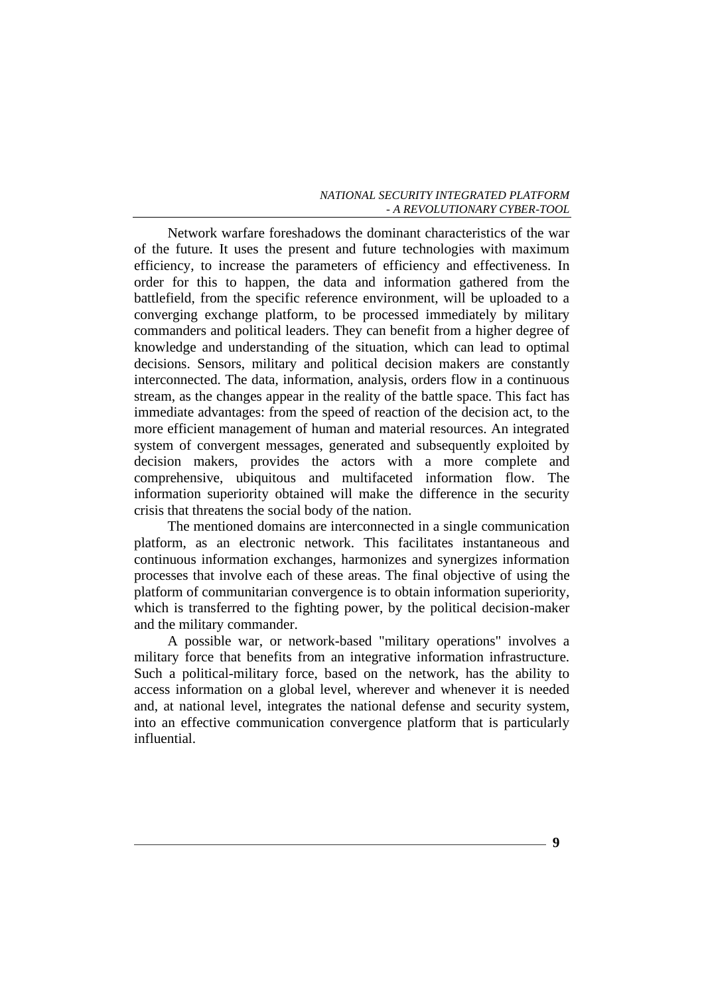Network warfare foreshadows the dominant characteristics of the war of the future. It uses the present and future technologies with maximum efficiency, to increase the parameters of efficiency and effectiveness. In order for this to happen, the data and information gathered from the battlefield, from the specific reference environment, will be uploaded to a converging exchange platform, to be processed immediately by military commanders and political leaders. They can benefit from a higher degree of knowledge and understanding of the situation, which can lead to optimal decisions. Sensors, military and political decision makers are constantly interconnected. The data, information, analysis, orders flow in a continuous stream, as the changes appear in the reality of the battle space. This fact has immediate advantages: from the speed of reaction of the decision act, to the more efficient management of human and material resources. An integrated system of convergent messages, generated and subsequently exploited by decision makers, provides the actors with a more complete and comprehensive, ubiquitous and multifaceted information flow. The information superiority obtained will make the difference in the security crisis that threatens the social body of the nation.

The mentioned domains are interconnected in a single communication platform, as an electronic network. This facilitates instantaneous and continuous information exchanges, harmonizes and synergizes information processes that involve each of these areas. The final objective of using the platform of communitarian convergence is to obtain information superiority, which is transferred to the fighting power, by the political decision-maker and the military commander.

A possible war, or network-based "military operations" involves a military force that benefits from an integrative information infrastructure. Such a political-military force, based on the network, has the ability to access information on a global level, wherever and whenever it is needed and, at national level, integrates the national defense and security system, into an effective communication convergence platform that is particularly influential.